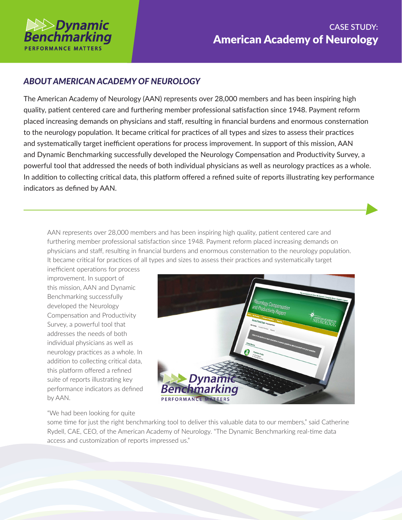

## *ABOUT AMERICAN ACADEMY OF NEUROLOGY*

The American Academy of Neurology (AAN) represents over 28,000 members and has been inspiring high quality, patient centered care and furthering member professional satisfaction since 1948. Payment reform placed increasing demands on physicians and staff, resulting in financial burdens and enormous consternation to the neurology population. It became critical for practices of all types and sizes to assess their practices and systematically target inefficient operations for process improvement. In support of this mission, AAN and Dynamic Benchmarking successfully developed the Neurology Compensation and Productivity Survey, a powerful tool that addressed the needs of both individual physicians as well as neurology practices as a whole. In addition to collecting critical data, this platform offered a refined suite of reports illustrating key performance indicators as defined by AAN.

AAN represents over 28,000 members and has been inspiring high quality, patient centered care and furthering member professional satisfaction since 1948. Payment reform placed increasing demands on physicians and staff, resulting in financial burdens and enormous consternation to the neurology population. It became critical for practices of all types and sizes to assess their practices and systematically target

inefficient operations for process improvement. In support of this mission, AAN and Dynamic Benchmarking successfully developed the Neurology Compensation and Productivity Survey, a powerful tool that addresses the needs of both individual physicians as well as neurology practices as a whole. In addition to collecting critical data, this platform offered a refined suite of reports illustrating key performance indicators as defined by AAN.



"We had been looking for quite

some time for just the right benchmarking tool to deliver this valuable data to our members," said Catherine Rydell, CAE, CEO, of the American Academy of Neurology. "The Dynamic Benchmarking real-time data access and customization of reports impressed us."